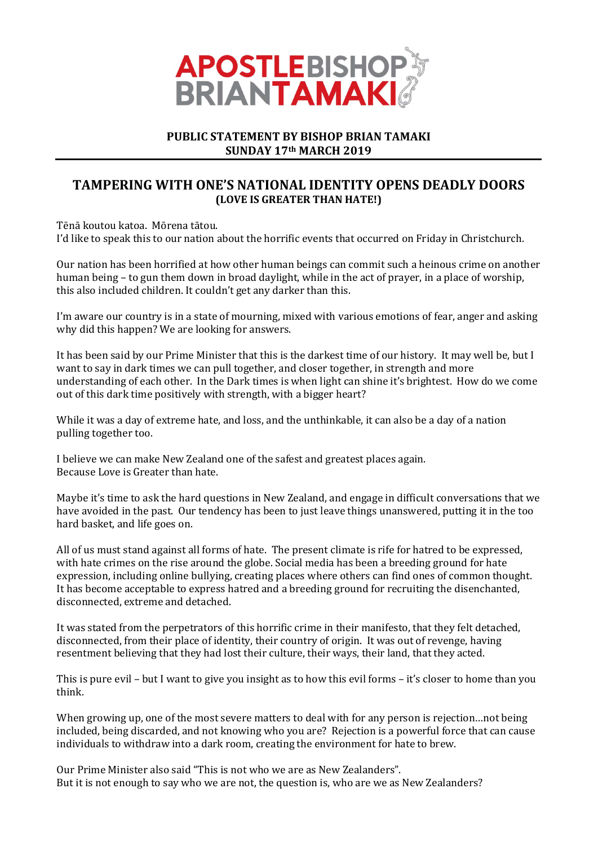

## PUBLIC STATEMENT BY BISHOP BRIAN TAMAKI SUNDAY 17th MARCH 2019

## TAMPERING WITH ONE'S NATIONAL IDENTITY OPENS DEADLY DOORS (LOVE IS GREATER THAN HATE!)

Tēnā koutou katoa. Mōrena tātou.

I'd like to speak this to our nation about the horrific events that occurred on Friday in Christchurch.

Our nation has been horrified at how other human beings can commit such a heinous crime on another human being – to gun them down in broad daylight, while in the act of prayer, in a place of worship, this also included children. It couldn't get any darker than this.

I'm aware our country is in a state of mourning, mixed with various emotions of fear, anger and asking why did this happen? We are looking for answers.

It has been said by our Prime Minister that this is the darkest time of our history. It may well be, but I want to say in dark times we can pull together, and closer together, in strength and more understanding of each other. In the Dark times is when light can shine it's brightest. How do we come out of this dark time positively with strength, with a bigger heart?

While it was a day of extreme hate, and loss, and the unthinkable, it can also be a day of a nation pulling together too.

I believe we can make New Zealand one of the safest and greatest places again. Because Love is Greater than hate.

Maybe it's time to ask the hard questions in New Zealand, and engage in difficult conversations that we have avoided in the past. Our tendency has been to just leave things unanswered, putting it in the too hard basket, and life goes on.

All of us must stand against all forms of hate. The present climate is rife for hatred to be expressed, with hate crimes on the rise around the globe. Social media has been a breeding ground for hate expression, including online bullying, creating places where others can find ones of common thought. It has become acceptable to express hatred and a breeding ground for recruiting the disenchanted, disconnected, extreme and detached.

It was stated from the perpetrators of this horrific crime in their manifesto, that they felt detached, disconnected, from their place of identity, their country of origin. It was out of revenge, having resentment believing that they had lost their culture, their ways, their land, that they acted.

This is pure evil – but I want to give you insight as to how this evil forms – it's closer to home than you think.

When growing up, one of the most severe matters to deal with for any person is rejection…not being included, being discarded, and not knowing who you are? Rejection is a powerful force that can cause individuals to withdraw into a dark room, creating the environment for hate to brew.

Our Prime Minister also said "This is not who we are as New Zealanders". But it is not enough to say who we are not, the question is, who are we as New Zealanders?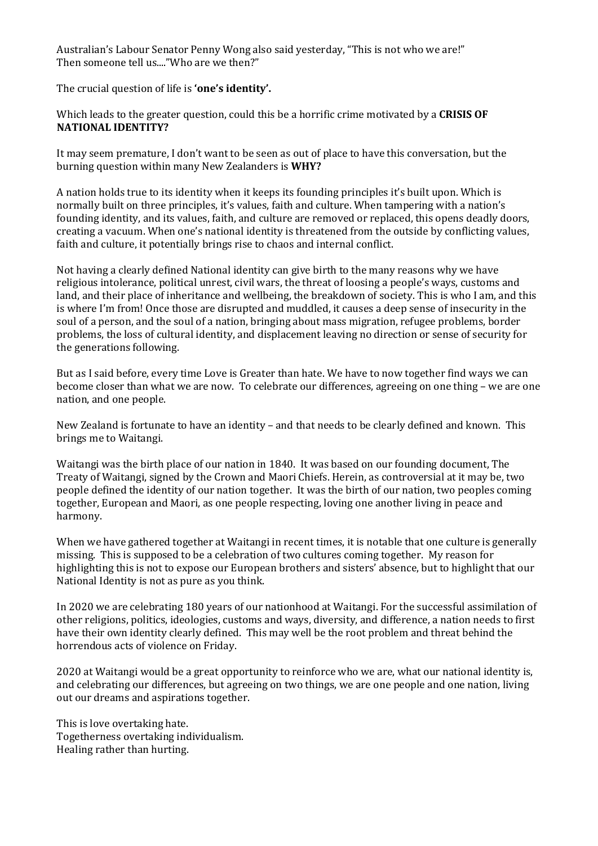Australian's Labour Senator Penny Wong also said yesterday, "This is not who we are!" Then someone tell us...."Who are we then?"

The crucial question of life is 'one's identity'.

Which leads to the greater question, could this be a horrific crime motivated by a CRISIS OF NATIONAL IDENTITY?

It may seem premature, I don't want to be seen as out of place to have this conversation, but the burning question within many New Zealanders is WHY?

A nation holds true to its identity when it keeps its founding principles it's built upon. Which is normally built on three principles, it's values, faith and culture. When tampering with a nation's founding identity, and its values, faith, and culture are removed or replaced, this opens deadly doors, creating a vacuum. When one's national identity is threatened from the outside by conflicting values, faith and culture, it potentially brings rise to chaos and internal conflict.

Not having a clearly defined National identity can give birth to the many reasons why we have religious intolerance, political unrest, civil wars, the threat of loosing a people's ways, customs and land, and their place of inheritance and wellbeing, the breakdown of society. This is who I am, and this is where I'm from! Once those are disrupted and muddled, it causes a deep sense of insecurity in the soul of a person, and the soul of a nation, bringing about mass migration, refugee problems, border problems, the loss of cultural identity, and displacement leaving no direction or sense of security for the generations following.

But as I said before, every time Love is Greater than hate. We have to now together find ways we can become closer than what we are now. To celebrate our differences, agreeing on one thing – we are one nation, and one people.

New Zealand is fortunate to have an identity – and that needs to be clearly defined and known. This brings me to Waitangi.

Waitangi was the birth place of our nation in 1840. It was based on our founding document, The Treaty of Waitangi, signed by the Crown and Maori Chiefs. Herein, as controversial at it may be, two people defined the identity of our nation together. It was the birth of our nation, two peoples coming together, European and Maori, as one people respecting, loving one another living in peace and harmony.

When we have gathered together at Waitangi in recent times, it is notable that one culture is generally missing. This is supposed to be a celebration of two cultures coming together. My reason for highlighting this is not to expose our European brothers and sisters' absence, but to highlight that our National Identity is not as pure as you think.

In 2020 we are celebrating 180 years of our nationhood at Waitangi. For the successful assimilation of other religions, politics, ideologies, customs and ways, diversity, and difference, a nation needs to first have their own identity clearly defined. This may well be the root problem and threat behind the horrendous acts of violence on Friday.

2020 at Waitangi would be a great opportunity to reinforce who we are, what our national identity is, and celebrating our differences, but agreeing on two things, we are one people and one nation, living out our dreams and aspirations together.

This is love overtaking hate. Togetherness overtaking individualism. Healing rather than hurting.